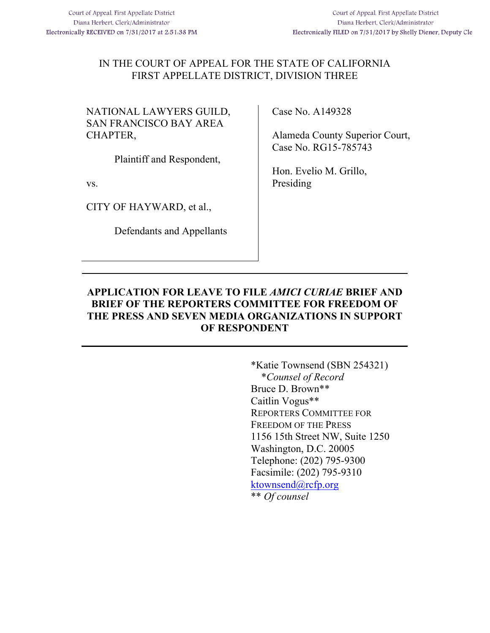### IN THE COURT OF APPEAL FOR THE STATE OF CALIFORNIA FIRST APPELLATE DISTRICT, DIVISION THREE

NATIONAL LAWYERS GUILD, SAN FRANCISCO BAY AREA CHAPTER,

Plaintiff and Respondent,

vs.

CITY OF HAYWARD, et al.,

Defendants and Appellants

Case No. A149328

Alameda County Superior Court, Case No. RG15-785743

Hon. Evelio M. Grillo, Presiding

### **APPLICATION FOR LEAVE TO FILE** *AMICI CURIAE* **BRIEF AND BRIEF OF THE REPORTERS COMMITTEE FOR FREEDOM OF THE PRESS AND SEVEN MEDIA ORGANIZATIONS IN SUPPORT OF RESPONDENT**

\*Katie Townsend (SBN 254321) \**Counsel of Record* Bruce D. Brown\*\* Caitlin Vogus\*\* REPORTERS COMMITTEE FOR FREEDOM OF THE PRESS 1156 15th Street NW, Suite 1250 Washington, D.C. 20005 Telephone: (202) 795-9300 Facsimile: (202) 795-9310 ktownsend@rcfp.org \*\* *Of counsel*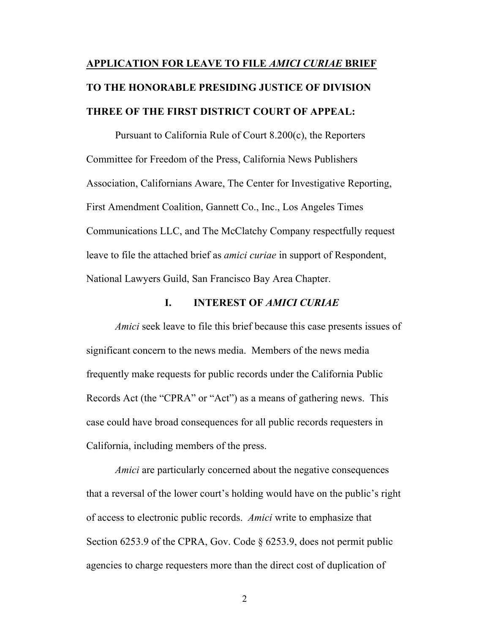# **APPLICATION FOR LEAVE TO FILE** *AMICI CURIAE* **BRIEF TO THE HONORABLE PRESIDING JUSTICE OF DIVISION THREE OF THE FIRST DISTRICT COURT OF APPEAL:**

Pursuant to California Rule of Court 8.200(c), the Reporters Committee for Freedom of the Press, California News Publishers Association, Californians Aware, The Center for Investigative Reporting, First Amendment Coalition, Gannett Co., Inc., Los Angeles Times Communications LLC, and The McClatchy Company respectfully request leave to file the attached brief as *amici curiae* in support of Respondent, National Lawyers Guild, San Francisco Bay Area Chapter.

#### **I. INTEREST OF** *AMICI CURIAE*

*Amici* seek leave to file this brief because this case presents issues of significant concern to the news media. Members of the news media frequently make requests for public records under the California Public Records Act (the "CPRA" or "Act") as a means of gathering news. This case could have broad consequences for all public records requesters in California, including members of the press.

*Amici* are particularly concerned about the negative consequences that a reversal of the lower court's holding would have on the public's right of access to electronic public records. *Amici* write to emphasize that Section 6253.9 of the CPRA, Gov. Code § 6253.9, does not permit public agencies to charge requesters more than the direct cost of duplication of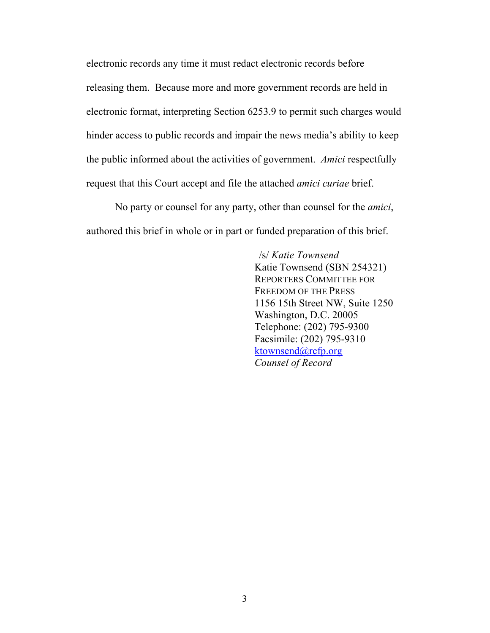electronic records any time it must redact electronic records before releasing them. Because more and more government records are held in electronic format, interpreting Section 6253.9 to permit such charges would hinder access to public records and impair the news media's ability to keep the public informed about the activities of government. *Amici* respectfully request that this Court accept and file the attached *amici curiae* brief.

No party or counsel for any party, other than counsel for the *amici*, authored this brief in whole or in part or funded preparation of this brief.

#### /s/ *Katie Townsend*

Katie Townsend (SBN 254321) REPORTERS COMMITTEE FOR FREEDOM OF THE PRESS 1156 15th Street NW, Suite 1250 Washington, D.C. 20005 Telephone: (202) 795-9300 Facsimile: (202) 795-9310 ktownsend@rcfp.org *Counsel of Record*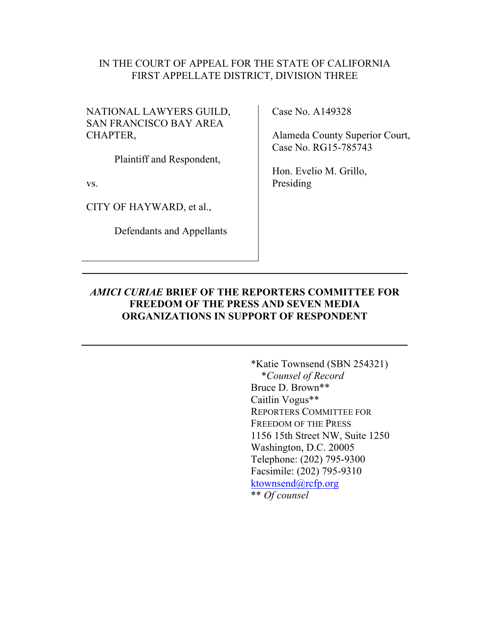#### IN THE COURT OF APPEAL FOR THE STATE OF CALIFORNIA FIRST APPELLATE DISTRICT, DIVISION THREE

NATIONAL LAWYERS GUILD, SAN FRANCISCO BAY AREA CHAPTER,

Plaintiff and Respondent,

vs.

CITY OF HAYWARD, et al.,

Defendants and Appellants

Case No. A149328

Alameda County Superior Court, Case No. RG15-785743

Hon. Evelio M. Grillo, Presiding

#### *AMICI CURIAE* **BRIEF OF THE REPORTERS COMMITTEE FOR FREEDOM OF THE PRESS AND SEVEN MEDIA ORGANIZATIONS IN SUPPORT OF RESPONDENT**

\*Katie Townsend (SBN 254321) \**Counsel of Record* Bruce D. Brown\*\* Caitlin Vogus\*\* REPORTERS COMMITTEE FOR FREEDOM OF THE PRESS 1156 15th Street NW, Suite 1250 Washington, D.C. 20005 Telephone: (202) 795-9300 Facsimile: (202) 795-9310 ktownsend@rcfp.org \*\* *Of counsel*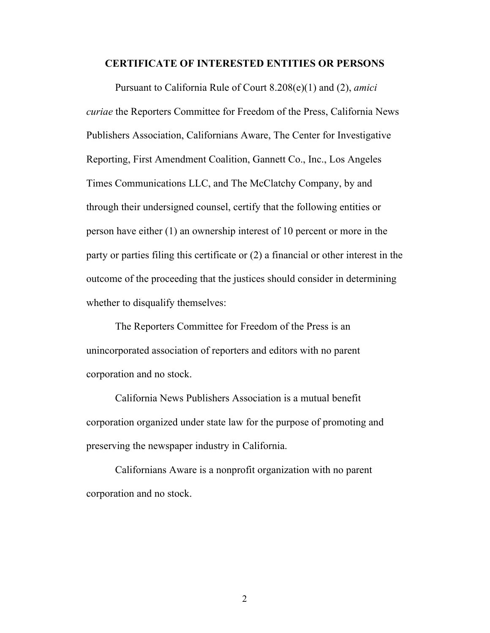#### **CERTIFICATE OF INTERESTED ENTITIES OR PERSONS**

Pursuant to California Rule of Court 8.208(e)(1) and (2), *amici curiae* the Reporters Committee for Freedom of the Press, California News Publishers Association, Californians Aware, The Center for Investigative Reporting, First Amendment Coalition, Gannett Co., Inc., Los Angeles Times Communications LLC, and The McClatchy Company, by and through their undersigned counsel, certify that the following entities or person have either (1) an ownership interest of 10 percent or more in the party or parties filing this certificate or (2) a financial or other interest in the outcome of the proceeding that the justices should consider in determining whether to disqualify themselves:

The Reporters Committee for Freedom of the Press is an unincorporated association of reporters and editors with no parent corporation and no stock.

California News Publishers Association is a mutual benefit corporation organized under state law for the purpose of promoting and preserving the newspaper industry in California.

Californians Aware is a nonprofit organization with no parent corporation and no stock.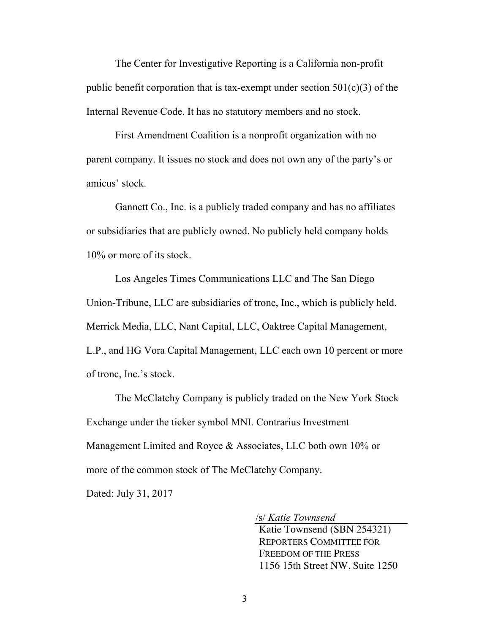The Center for Investigative Reporting is a California non-profit public benefit corporation that is tax-exempt under section  $501(c)(3)$  of the Internal Revenue Code. It has no statutory members and no stock.

First Amendment Coalition is a nonprofit organization with no parent company. It issues no stock and does not own any of the party's or amicus' stock.

Gannett Co., Inc. is a publicly traded company and has no affiliates or subsidiaries that are publicly owned. No publicly held company holds 10% or more of its stock.

Los Angeles Times Communications LLC and The San Diego Union-Tribune, LLC are subsidiaries of tronc, Inc., which is publicly held. Merrick Media, LLC, Nant Capital, LLC, Oaktree Capital Management, L.P., and HG Vora Capital Management, LLC each own 10 percent or more of tronc, Inc.'s stock.

The McClatchy Company is publicly traded on the New York Stock Exchange under the ticker symbol MNI. Contrarius Investment Management Limited and Royce & Associates, LLC both own 10% or more of the common stock of The McClatchy Company.

Dated: July 31, 2017

/s/ *Katie Townsend*

Katie Townsend (SBN 254321) REPORTERS COMMITTEE FOR FREEDOM OF THE PRESS 1156 15th Street NW, Suite 1250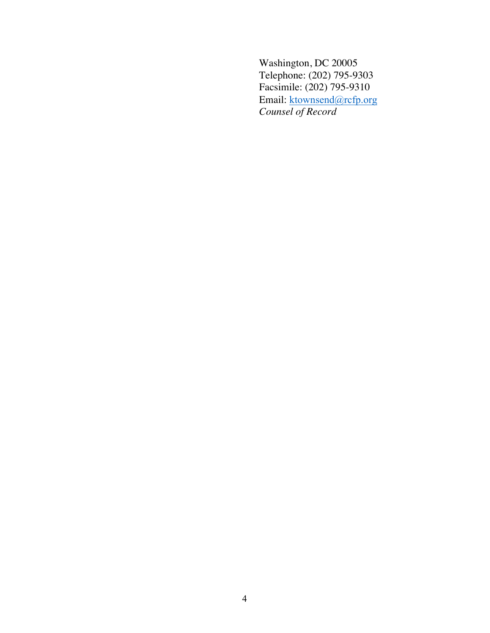Washington, DC 20005 Telephone: (202) 795-9303 Facsimile: (202) 795-9310 Email: ktownsend@rcfp.org *Counsel of Record*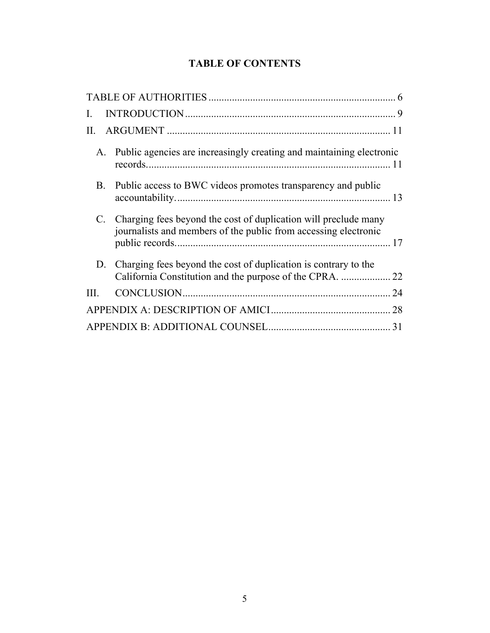## **TABLE OF CONTENTS**

| L               |                                                                                                                                    |    |
|-----------------|------------------------------------------------------------------------------------------------------------------------------------|----|
| П.              |                                                                                                                                    |    |
| A.              | Public agencies are increasingly creating and maintaining electronic                                                               |    |
| B.              | Public access to BWC videos promotes transparency and public                                                                       |    |
| $\mathcal{C}$ . | Charging fees beyond the cost of duplication will preclude many<br>journalists and members of the public from accessing electronic |    |
| D.              | Charging fees beyond the cost of duplication is contrary to the                                                                    |    |
| Ш               |                                                                                                                                    | 24 |
|                 |                                                                                                                                    | 28 |
|                 |                                                                                                                                    | 31 |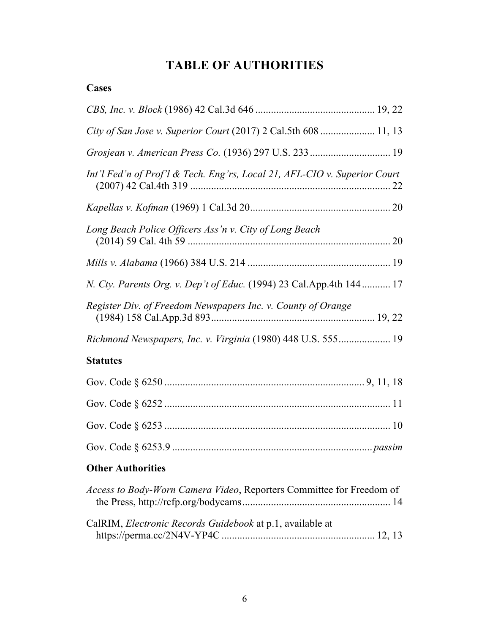## **TABLE OF AUTHORITIES**

| City of San Jose v. Superior Court (2017) 2 Cal.5th 608  11, 13           |  |
|---------------------------------------------------------------------------|--|
|                                                                           |  |
| Int'l Fed'n of Prof'l & Tech. Eng'rs, Local 21, AFL-CIO v. Superior Court |  |
|                                                                           |  |
| Long Beach Police Officers Ass'n v. City of Long Beach                    |  |
|                                                                           |  |
| N. Cty. Parents Org. v. Dep't of Educ. (1994) 23 Cal. App. 4th 144 17     |  |
| Register Div. of Freedom Newspapers Inc. v. County of Orange              |  |
| Richmond Newspapers, Inc. v. Virginia (1980) 448 U.S. 555 19              |  |
| <b>Statutes</b>                                                           |  |
|                                                                           |  |
|                                                                           |  |
|                                                                           |  |
|                                                                           |  |
| <b>Other Authorities</b>                                                  |  |
| Access to Body-Worn Camera Video, Reporters Committee for Freedom of      |  |
| CalRIM, Electronic Records Guidebook at p.1, available at                 |  |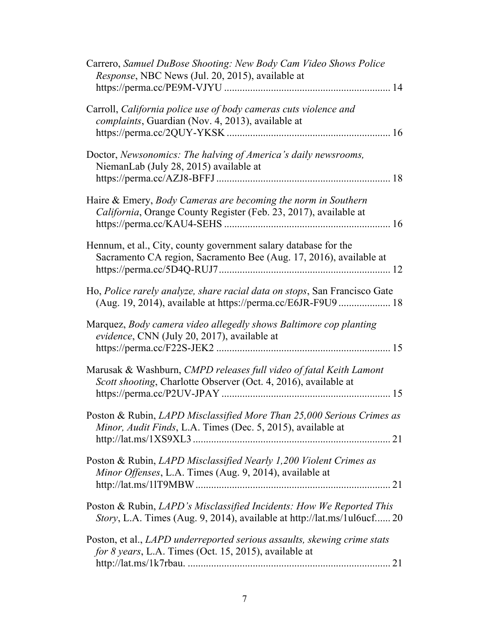| Carrero, Samuel DuBose Shooting: New Body Cam Video Shows Police<br>Response, NBC News (Jul. 20, 2015), available at                            |
|-------------------------------------------------------------------------------------------------------------------------------------------------|
| Carroll, California police use of body cameras cuts violence and<br>complaints, Guardian (Nov. 4, 2013), available at                           |
| Doctor, Newsonomics: The halving of America's daily newsrooms,<br>NiemanLab (July 28, 2015) available at                                        |
| Haire & Emery, Body Cameras are becoming the norm in Southern<br>California, Orange County Register (Feb. 23, 2017), available at               |
| Hennum, et al., City, county government salary database for the<br>Sacramento CA region, Sacramento Bee (Aug. 17, 2016), available at           |
| Ho, Police rarely analyze, share racial data on stops, San Francisco Gate<br>(Aug. 19, 2014), available at https://perma.cc/E6JR-F9U9  18       |
| Marquez, Body camera video allegedly shows Baltimore cop planting<br>evidence, CNN (July 20, 2017), available at                                |
| Marusak & Washburn, CMPD releases full video of fatal Keith Lamont<br>Scott shooting, Charlotte Observer (Oct. 4, 2016), available at           |
| Poston & Rubin, LAPD Misclassified More Than 25,000 Serious Crimes as<br>Minor, Audit Finds, L.A. Times (Dec. 5, 2015), available at            |
| Poston & Rubin, LAPD Misclassified Nearly 1,200 Violent Crimes as<br>Minor Offenses, L.A. Times (Aug. 9, 2014), available at                    |
| Poston & Rubin, LAPD's Misclassified Incidents: How We Reported This<br>Story, L.A. Times (Aug. 9, 2014), available at http://lat.ms/1ul6ucf 20 |
| Poston, et al., <i>LAPD</i> underreported serious assaults, skewing crime stats<br>for 8 years, L.A. Times (Oct. 15, 2015), available at        |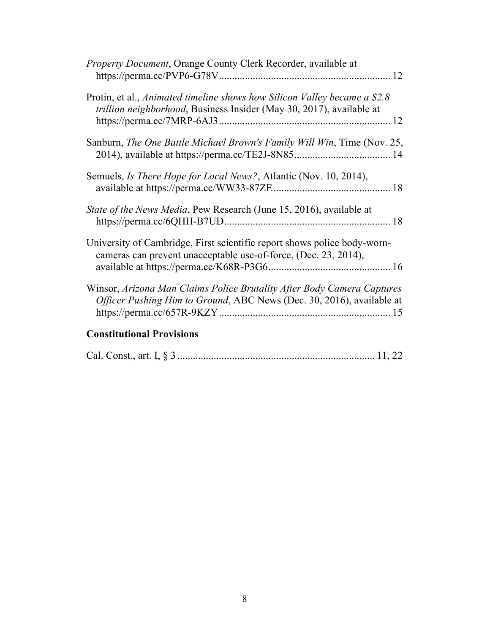| Property Document, Orange County Clerk Recorder, available at                                                                                     |
|---------------------------------------------------------------------------------------------------------------------------------------------------|
| Protin, et al., Animated timeline shows how Silicon Valley became a \$2.8<br>trillion neighborhood, Business Insider (May 30, 2017), available at |
| Sanburn, The One Battle Michael Brown's Family Will Win, Time (Nov. 25,                                                                           |
| Semuels, <i>Is There Hope for Local News?</i> , Atlantic (Nov. 10, 2014),                                                                         |
| State of the News Media, Pew Research (June 15, 2016), available at                                                                               |
| University of Cambridge, First scientific report shows police body-worn-<br>cameras can prevent unacceptable use-of-force, (Dec. 23, 2014),       |
| Winsor, Arizona Man Claims Police Brutality After Body Camera Captures<br>Officer Pushing Him to Ground, ABC News (Dec. 30, 2016), available at   |
| <b>Constitutional Provisions</b>                                                                                                                  |

|--|--|--|--|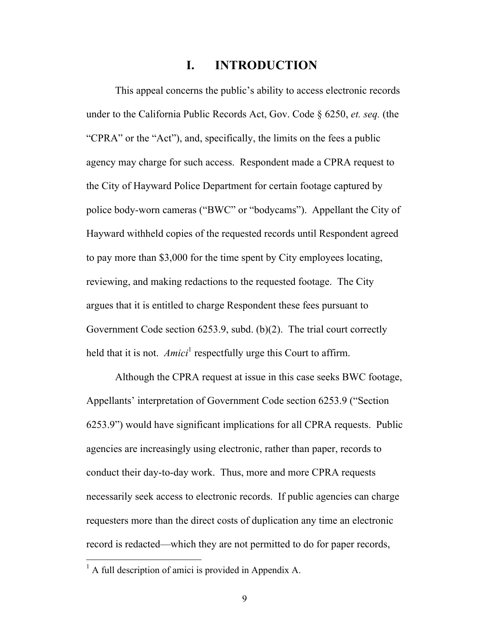### **I. INTRODUCTION**

This appeal concerns the public's ability to access electronic records under to the California Public Records Act, Gov. Code § 6250, *et. seq.* (the "CPRA" or the "Act"), and, specifically, the limits on the fees a public agency may charge for such access. Respondent made a CPRA request to the City of Hayward Police Department for certain footage captured by police body-worn cameras ("BWC" or "bodycams"). Appellant the City of Hayward withheld copies of the requested records until Respondent agreed to pay more than \$3,000 for the time spent by City employees locating, reviewing, and making redactions to the requested footage. The City argues that it is entitled to charge Respondent these fees pursuant to Government Code section 6253.9, subd. (b)(2). The trial court correctly held that it is not. *Amici*<sup>1</sup> respectfully urge this Court to affirm.

Although the CPRA request at issue in this case seeks BWC footage, Appellants' interpretation of Government Code section 6253.9 ("Section 6253.9") would have significant implications for all CPRA requests. Public agencies are increasingly using electronic, rather than paper, records to conduct their day-to-day work. Thus, more and more CPRA requests necessarily seek access to electronic records. If public agencies can charge requesters more than the direct costs of duplication any time an electronic record is redacted—which they are not permitted to do for paper records,

 $<sup>1</sup>$  A full description of amici is provided in Appendix A.</sup>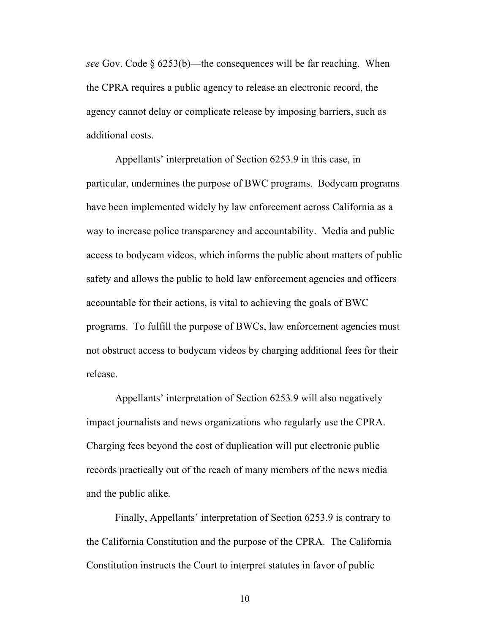*see* Gov. Code § 6253(b)—the consequences will be far reaching. When the CPRA requires a public agency to release an electronic record, the agency cannot delay or complicate release by imposing barriers, such as additional costs.

Appellants' interpretation of Section 6253.9 in this case, in particular, undermines the purpose of BWC programs. Bodycam programs have been implemented widely by law enforcement across California as a way to increase police transparency and accountability. Media and public access to bodycam videos, which informs the public about matters of public safety and allows the public to hold law enforcement agencies and officers accountable for their actions, is vital to achieving the goals of BWC programs. To fulfill the purpose of BWCs, law enforcement agencies must not obstruct access to bodycam videos by charging additional fees for their release.

Appellants' interpretation of Section 6253.9 will also negatively impact journalists and news organizations who regularly use the CPRA. Charging fees beyond the cost of duplication will put electronic public records practically out of the reach of many members of the news media and the public alike.

Finally, Appellants' interpretation of Section 6253.9 is contrary to the California Constitution and the purpose of the CPRA. The California Constitution instructs the Court to interpret statutes in favor of public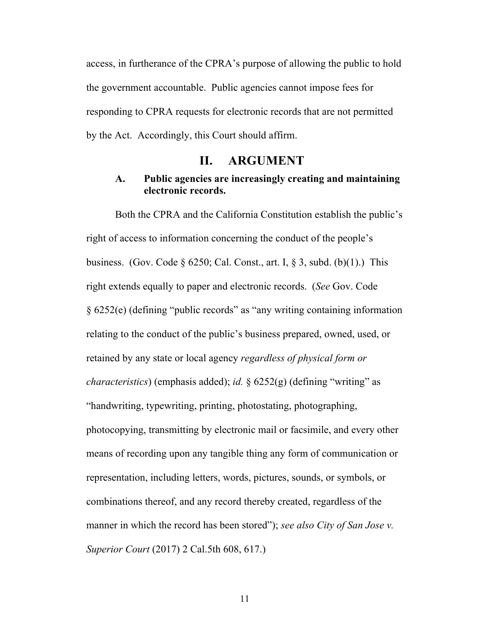access, in furtherance of the CPRA's purpose of allowing the public to hold the government accountable. Public agencies cannot impose fees for responding to CPRA requests for electronic records that are not permitted by the Act. Accordingly, this Court should affirm.

### **II. ARGUMENT**

#### **A. Public agencies are increasingly creating and maintaining electronic records.**

Both the CPRA and the California Constitution establish the public's right of access to information concerning the conduct of the people's business. (Gov. Code  $\S$  6250; Cal. Const., art. I,  $\S$  3, subd. (b)(1).) This right extends equally to paper and electronic records. (*See* Gov. Code § 6252(e) (defining "public records" as "any writing containing information relating to the conduct of the public's business prepared, owned, used, or retained by any state or local agency *regardless of physical form or characteristics*) (emphasis added); *id.* § 6252(g) (defining "writing" as "handwriting, typewriting, printing, photostating, photographing, photocopying, transmitting by electronic mail or facsimile, and every other means of recording upon any tangible thing any form of communication or representation, including letters, words, pictures, sounds, or symbols, or combinations thereof, and any record thereby created, regardless of the manner in which the record has been stored"); *see also City of San Jose v. Superior Court* (2017) 2 Cal.5th 608, 617.)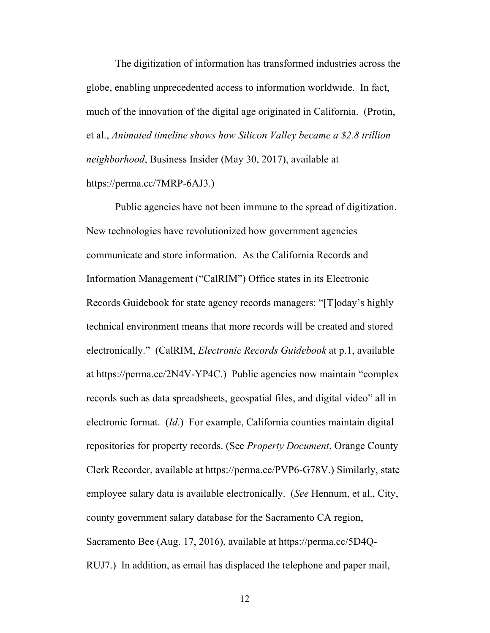The digitization of information has transformed industries across the globe, enabling unprecedented access to information worldwide. In fact, much of the innovation of the digital age originated in California. (Protin, et al., *Animated timeline shows how Silicon Valley became a \$2.8 trillion neighborhood*, Business Insider (May 30, 2017), available at https://perma.cc/7MRP-6AJ3.)

Public agencies have not been immune to the spread of digitization. New technologies have revolutionized how government agencies communicate and store information. As the California Records and Information Management ("CalRIM") Office states in its Electronic Records Guidebook for state agency records managers: "[T]oday's highly technical environment means that more records will be created and stored electronically." (CalRIM, *Electronic Records Guidebook* at p.1, available at https://perma.cc/2N4V-YP4C.) Public agencies now maintain "complex records such as data spreadsheets, geospatial files, and digital video" all in electronic format. (*Id.*) For example, California counties maintain digital repositories for property records. (See *Property Document*, Orange County Clerk Recorder, available at https://perma.cc/PVP6-G78V.) Similarly, state employee salary data is available electronically. (*See* Hennum, et al., City, county government salary database for the Sacramento CA region, Sacramento Bee (Aug. 17, 2016), available at https://perma.cc/5D4Q-RUJ7.) In addition, as email has displaced the telephone and paper mail,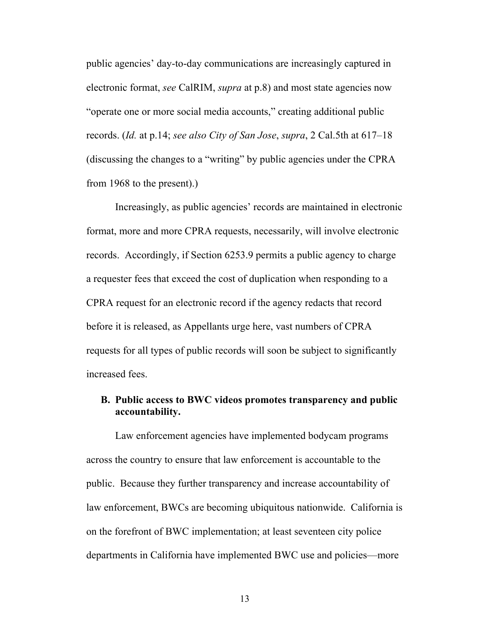public agencies' day-to-day communications are increasingly captured in electronic format, *see* CalRIM, *supra* at p.8) and most state agencies now "operate one or more social media accounts," creating additional public records. (*Id.* at p.14; *see also City of San Jose*, *supra*, 2 Cal.5th at 617–18 (discussing the changes to a "writing" by public agencies under the CPRA from 1968 to the present).)

Increasingly, as public agencies' records are maintained in electronic format, more and more CPRA requests, necessarily, will involve electronic records. Accordingly, if Section 6253.9 permits a public agency to charge a requester fees that exceed the cost of duplication when responding to a CPRA request for an electronic record if the agency redacts that record before it is released, as Appellants urge here, vast numbers of CPRA requests for all types of public records will soon be subject to significantly increased fees.

#### **B. Public access to BWC videos promotes transparency and public accountability.**

Law enforcement agencies have implemented bodycam programs across the country to ensure that law enforcement is accountable to the public. Because they further transparency and increase accountability of law enforcement, BWCs are becoming ubiquitous nationwide. California is on the forefront of BWC implementation; at least seventeen city police departments in California have implemented BWC use and policies—more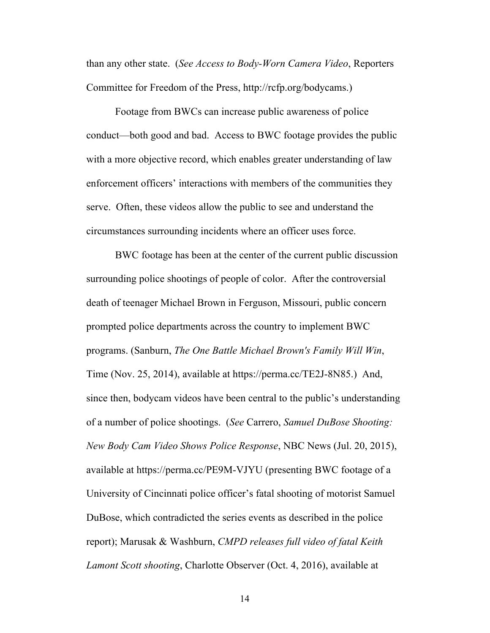than any other state. (*See Access to Body-Worn Camera Video*, Reporters Committee for Freedom of the Press, http://rcfp.org/bodycams.)

Footage from BWCs can increase public awareness of police conduct—both good and bad. Access to BWC footage provides the public with a more objective record, which enables greater understanding of law enforcement officers' interactions with members of the communities they serve. Often, these videos allow the public to see and understand the circumstances surrounding incidents where an officer uses force.

BWC footage has been at the center of the current public discussion surrounding police shootings of people of color. After the controversial death of teenager Michael Brown in Ferguson, Missouri, public concern prompted police departments across the country to implement BWC programs. (Sanburn, *The One Battle Michael Brown's Family Will Win*, Time (Nov. 25, 2014), available at https://perma.cc/TE2J-8N85.) And, since then, bodycam videos have been central to the public's understanding of a number of police shootings. (*See* Carrero, *Samuel DuBose Shooting: New Body Cam Video Shows Police Response*, NBC News (Jul. 20, 2015), available at https://perma.cc/PE9M-VJYU (presenting BWC footage of a University of Cincinnati police officer's fatal shooting of motorist Samuel DuBose, which contradicted the series events as described in the police report); Marusak & Washburn, *CMPD releases full video of fatal Keith Lamont Scott shooting*, Charlotte Observer (Oct. 4, 2016), available at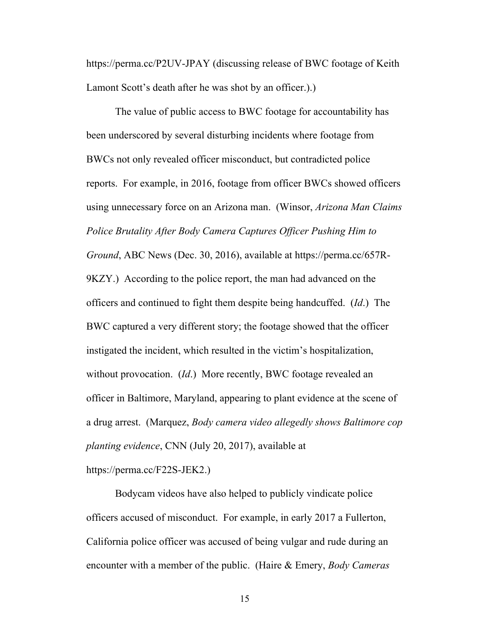https://perma.cc/P2UV-JPAY (discussing release of BWC footage of Keith Lamont Scott's death after he was shot by an officer.).)

The value of public access to BWC footage for accountability has been underscored by several disturbing incidents where footage from BWCs not only revealed officer misconduct, but contradicted police reports. For example, in 2016, footage from officer BWCs showed officers using unnecessary force on an Arizona man. (Winsor, *Arizona Man Claims Police Brutality After Body Camera Captures Officer Pushing Him to Ground*, ABC News (Dec. 30, 2016), available at https://perma.cc/657R-9KZY.) According to the police report, the man had advanced on the officers and continued to fight them despite being handcuffed. (*Id*.) The BWC captured a very different story; the footage showed that the officer instigated the incident, which resulted in the victim's hospitalization, without provocation. (*Id*.) More recently, BWC footage revealed an officer in Baltimore, Maryland, appearing to plant evidence at the scene of a drug arrest. (Marquez, *Body camera video allegedly shows Baltimore cop planting evidence*, CNN (July 20, 2017), available at https://perma.cc/F22S-JEK2.)

Bodycam videos have also helped to publicly vindicate police officers accused of misconduct. For example, in early 2017 a Fullerton, California police officer was accused of being vulgar and rude during an encounter with a member of the public. (Haire & Emery, *Body Cameras*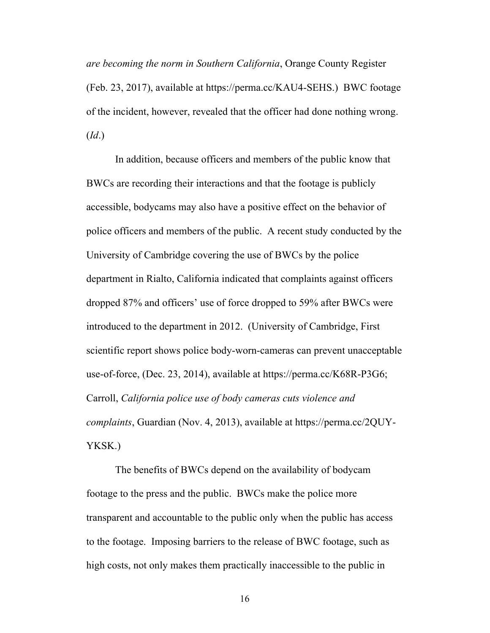*are becoming the norm in Southern California*, Orange County Register (Feb. 23, 2017), available at https://perma.cc/KAU4-SEHS.) BWC footage of the incident, however, revealed that the officer had done nothing wrong. (*Id*.)

In addition, because officers and members of the public know that BWCs are recording their interactions and that the footage is publicly accessible, bodycams may also have a positive effect on the behavior of police officers and members of the public. A recent study conducted by the University of Cambridge covering the use of BWCs by the police department in Rialto, California indicated that complaints against officers dropped 87% and officers' use of force dropped to 59% after BWCs were introduced to the department in 2012. (University of Cambridge, First scientific report shows police body-worn-cameras can prevent unacceptable use-of-force, (Dec. 23, 2014), available at https://perma.cc/K68R-P3G6; Carroll, *California police use of body cameras cuts violence and complaints*, Guardian (Nov. 4, 2013), available at https://perma.cc/2QUY-YKSK.)

The benefits of BWCs depend on the availability of bodycam footage to the press and the public. BWCs make the police more transparent and accountable to the public only when the public has access to the footage. Imposing barriers to the release of BWC footage, such as high costs, not only makes them practically inaccessible to the public in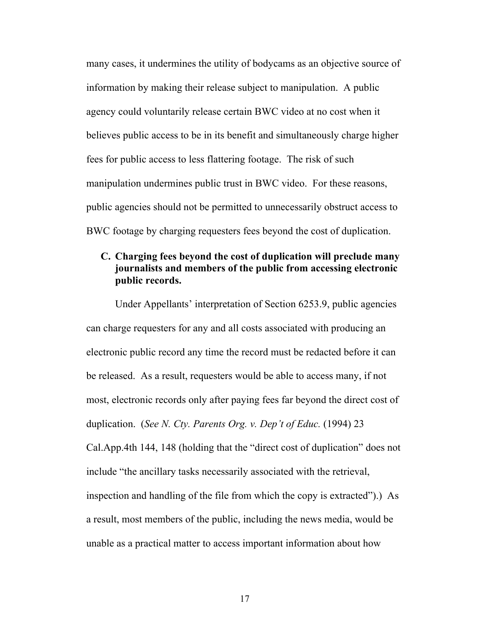many cases, it undermines the utility of bodycams as an objective source of information by making their release subject to manipulation. A public agency could voluntarily release certain BWC video at no cost when it believes public access to be in its benefit and simultaneously charge higher fees for public access to less flattering footage. The risk of such manipulation undermines public trust in BWC video. For these reasons, public agencies should not be permitted to unnecessarily obstruct access to BWC footage by charging requesters fees beyond the cost of duplication.

### **C. Charging fees beyond the cost of duplication will preclude many journalists and members of the public from accessing electronic public records.**

Under Appellants' interpretation of Section 6253.9, public agencies can charge requesters for any and all costs associated with producing an electronic public record any time the record must be redacted before it can be released. As a result, requesters would be able to access many, if not most, electronic records only after paying fees far beyond the direct cost of duplication. (*See N. Cty. Parents Org. v. Dep't of Educ.* (1994) 23 Cal.App.4th 144, 148 (holding that the "direct cost of duplication" does not include "the ancillary tasks necessarily associated with the retrieval, inspection and handling of the file from which the copy is extracted").) As a result, most members of the public, including the news media, would be unable as a practical matter to access important information about how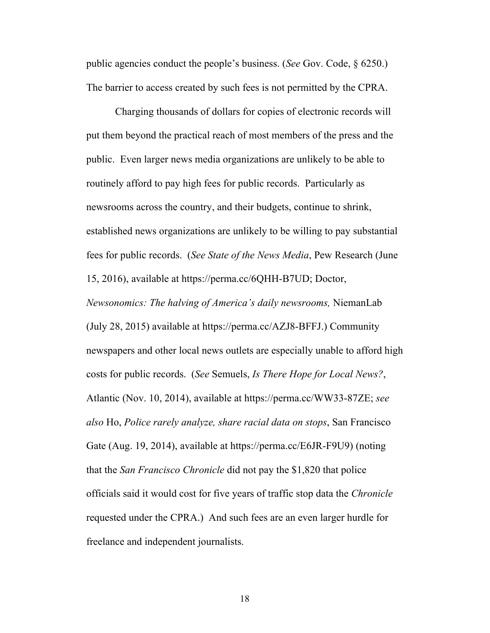public agencies conduct the people's business. (*See* Gov. Code, § 6250.) The barrier to access created by such fees is not permitted by the CPRA.

Charging thousands of dollars for copies of electronic records will put them beyond the practical reach of most members of the press and the public. Even larger news media organizations are unlikely to be able to routinely afford to pay high fees for public records. Particularly as newsrooms across the country, and their budgets, continue to shrink, established news organizations are unlikely to be willing to pay substantial fees for public records. (*See State of the News Media*, Pew Research (June 15, 2016), available at https://perma.cc/6QHH-B7UD; Doctor,

*Newsonomics: The halving of America's daily newsrooms,* NiemanLab (July 28, 2015) available at https://perma.cc/AZJ8-BFFJ.) Community newspapers and other local news outlets are especially unable to afford high costs for public records. (*See* Semuels, *Is There Hope for Local News?*, Atlantic (Nov. 10, 2014), available at https://perma.cc/WW33-87ZE; *see also* Ho, *Police rarely analyze, share racial data on stops*, San Francisco Gate (Aug. 19, 2014), available at https://perma.cc/E6JR-F9U9) (noting that the *San Francisco Chronicle* did not pay the \$1,820 that police officials said it would cost for five years of traffic stop data the *Chronicle*  requested under the CPRA.) And such fees are an even larger hurdle for freelance and independent journalists.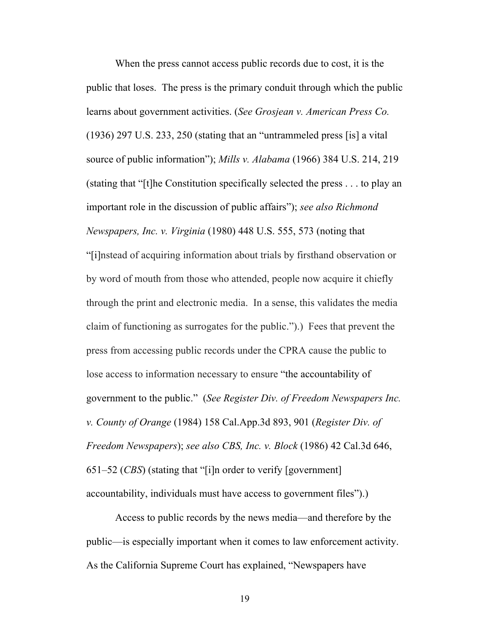When the press cannot access public records due to cost, it is the public that loses. The press is the primary conduit through which the public learns about government activities. (*See Grosjean v. American Press Co.* (1936) 297 U.S. 233, 250 (stating that an "untrammeled press [is] a vital source of public information"); *Mills v. Alabama* (1966) 384 U.S. 214, 219 (stating that "[t]he Constitution specifically selected the press . . . to play an important role in the discussion of public affairs"); *see also Richmond Newspapers, Inc. v. Virginia* (1980) 448 U.S. 555, 573 (noting that "[i]nstead of acquiring information about trials by firsthand observation or by word of mouth from those who attended, people now acquire it chiefly through the print and electronic media. In a sense, this validates the media claim of functioning as surrogates for the public.").) Fees that prevent the press from accessing public records under the CPRA cause the public to lose access to information necessary to ensure "the accountability of government to the public." (*See Register Div. of Freedom Newspapers Inc. v. County of Orange* (1984) 158 Cal.App.3d 893, 901 (*Register Div. of Freedom Newspapers*); *see also CBS, Inc. v. Block* (1986) 42 Cal.3d 646, 651–52 (*CBS*) (stating that "[i]n order to verify [government] accountability, individuals must have access to government files").)

Access to public records by the news media—and therefore by the public—is especially important when it comes to law enforcement activity. As the California Supreme Court has explained, "Newspapers have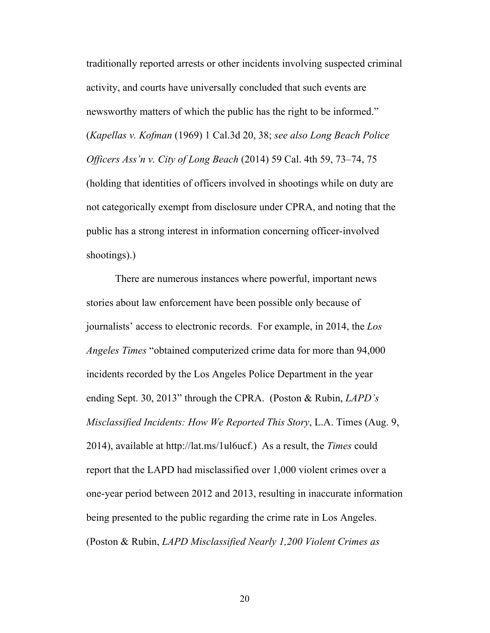traditionally reported arrests or other incidents involving suspected criminal activity, and courts have universally concluded that such events are newsworthy matters of which the public has the right to be informed." (*Kapellas v. Kofman* (1969) 1 Cal.3d 20, 38; *see also Long Beach Police Officers Ass'n v. City of Long Beach* (2014) 59 Cal. 4th 59, 73–74, 75 (holding that identities of officers involved in shootings while on duty are not categorically exempt from disclosure under CPRA, and noting that the public has a strong interest in information concerning officer-involved shootings).)

There are numerous instances where powerful, important news stories about law enforcement have been possible only because of journalists' access to electronic records. For example, in 2014, the *Los Angeles Times* "obtained computerized crime data for more than 94,000 incidents recorded by the Los Angeles Police Department in the year ending Sept. 30, 2013" through the CPRA. (Poston & Rubin, *LAPD's Misclassified Incidents: How We Reported This Story*, L.A. Times (Aug. 9, 2014), available at http://lat.ms/1ul6ucf.) As a result, the *Times* could report that the LAPD had misclassified over 1,000 violent crimes over a one-year period between 2012 and 2013, resulting in inaccurate information being presented to the public regarding the crime rate in Los Angeles. (Poston & Rubin, *LAPD Misclassified Nearly 1,200 Violent Crimes as*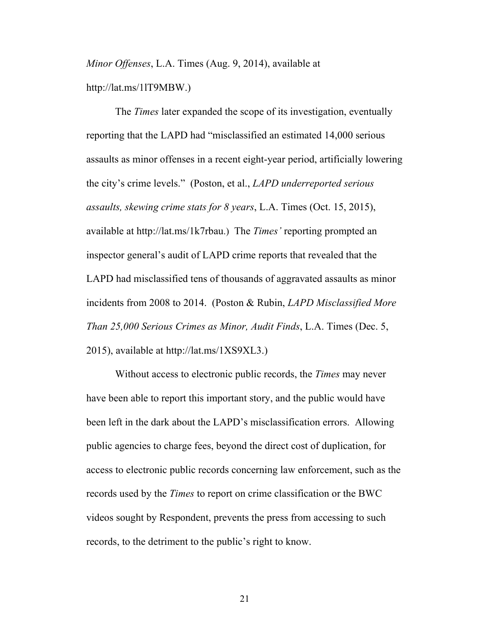*Minor Offenses*, L.A. Times (Aug. 9, 2014), available at http://lat.ms/1lT9MBW.)

The *Times* later expanded the scope of its investigation, eventually reporting that the LAPD had "misclassified an estimated 14,000 serious assaults as minor offenses in a recent eight-year period, artificially lowering the city's crime levels." (Poston, et al., *LAPD underreported serious assaults, skewing crime stats for 8 years*, L.A. Times (Oct. 15, 2015), available at http://lat.ms/1k7rbau.) The *Times'* reporting prompted an inspector general's audit of LAPD crime reports that revealed that the LAPD had misclassified tens of thousands of aggravated assaults as minor incidents from 2008 to 2014. (Poston & Rubin, *LAPD Misclassified More Than 25,000 Serious Crimes as Minor, Audit Finds*, L.A. Times (Dec. 5, 2015), available at http://lat.ms/1XS9XL3.)

Without access to electronic public records, the *Times* may never have been able to report this important story, and the public would have been left in the dark about the LAPD's misclassification errors. Allowing public agencies to charge fees, beyond the direct cost of duplication, for access to electronic public records concerning law enforcement, such as the records used by the *Times* to report on crime classification or the BWC videos sought by Respondent, prevents the press from accessing to such records, to the detriment to the public's right to know.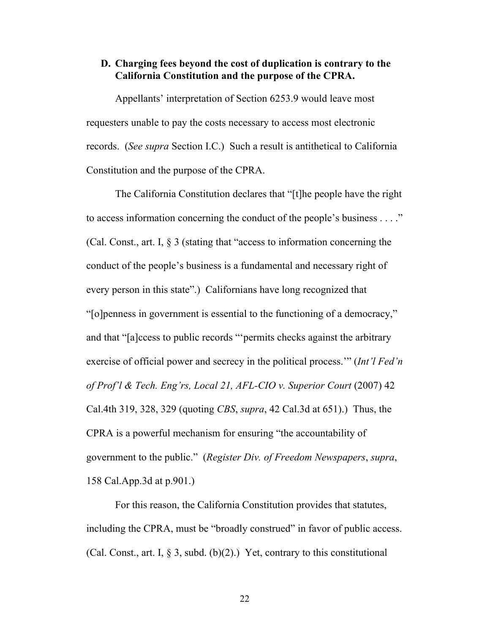#### **D. Charging fees beyond the cost of duplication is contrary to the California Constitution and the purpose of the CPRA.**

Appellants' interpretation of Section 6253.9 would leave most requesters unable to pay the costs necessary to access most electronic records. (*See supra* Section I.C.) Such a result is antithetical to California Constitution and the purpose of the CPRA.

The California Constitution declares that "[t]he people have the right to access information concerning the conduct of the people's business . . . ." (Cal. Const., art. I, § 3 (stating that "access to information concerning the conduct of the people's business is a fundamental and necessary right of every person in this state".) Californians have long recognized that "[o]penness in government is essential to the functioning of a democracy," and that "[a]ccess to public records "'permits checks against the arbitrary exercise of official power and secrecy in the political process.'" (*Int'l Fed'n of Prof'l & Tech. Eng'rs, Local 21, AFL-CIO v. Superior Court* (2007) 42 Cal.4th 319, 328, 329 (quoting *CBS*, *supra*, 42 Cal.3d at 651).) Thus, the CPRA is a powerful mechanism for ensuring "the accountability of government to the public." (*Register Div. of Freedom Newspapers*, *supra*, 158 Cal.App.3d at p.901.)

For this reason, the California Constitution provides that statutes, including the CPRA, must be "broadly construed" in favor of public access. (Cal. Const., art. I,  $\S$  3, subd. (b)(2).) Yet, contrary to this constitutional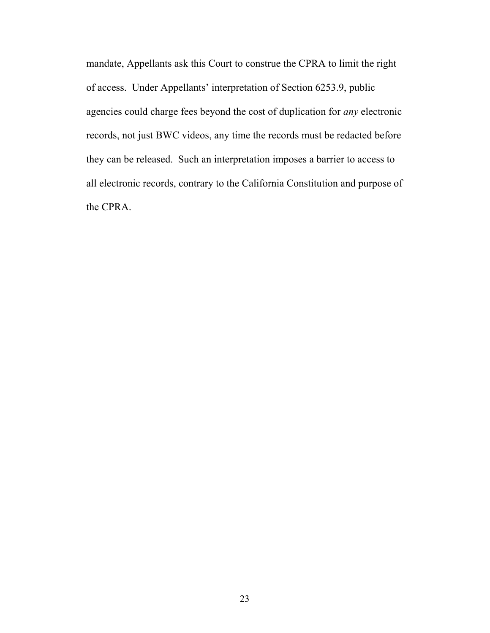mandate, Appellants ask this Court to construe the CPRA to limit the right of access. Under Appellants' interpretation of Section 6253.9, public agencies could charge fees beyond the cost of duplication for *any* electronic records, not just BWC videos, any time the records must be redacted before they can be released. Such an interpretation imposes a barrier to access to all electronic records, contrary to the California Constitution and purpose of the CPRA.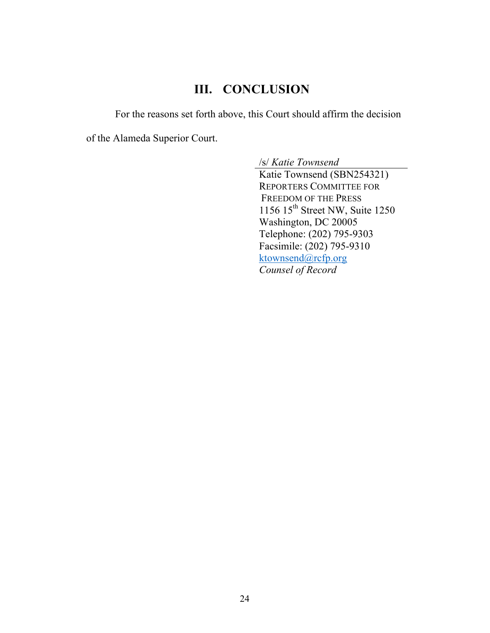## **III. CONCLUSION**

For the reasons set forth above, this Court should affirm the decision

of the Alameda Superior Court.

/s/ *Katie Townsend*

Katie Townsend (SBN254321) REPORTERS COMMITTEE FOR FREEDOM OF THE PRESS 1156  $15<sup>th</sup>$  Street NW, Suite 1250 Washington, DC 20005 Telephone: (202) 795-9303 Facsimile: (202) 795-9310 ktownsend@rcfp.org *Counsel of Record*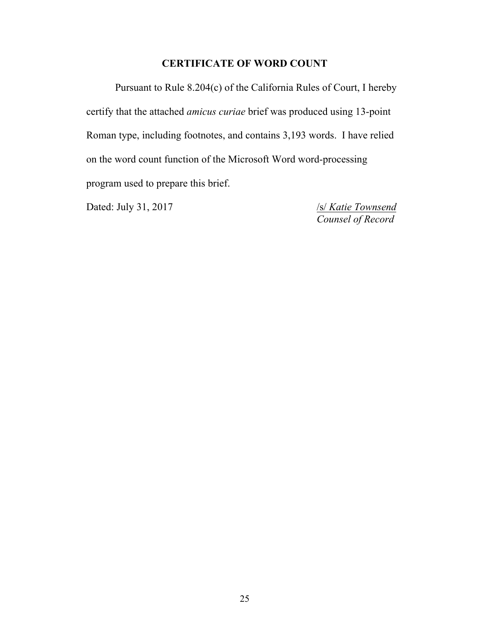## **CERTIFICATE OF WORD COUNT**

Pursuant to Rule 8.204(c) of the California Rules of Court, I hereby certify that the attached *amicus curiae* brief was produced using 13-point Roman type, including footnotes, and contains 3,193 words. I have relied on the word count function of the Microsoft Word word-processing program used to prepare this brief.

Dated: July 31, 2017 /s/ *Katie Townsend* 

*Counsel of Record*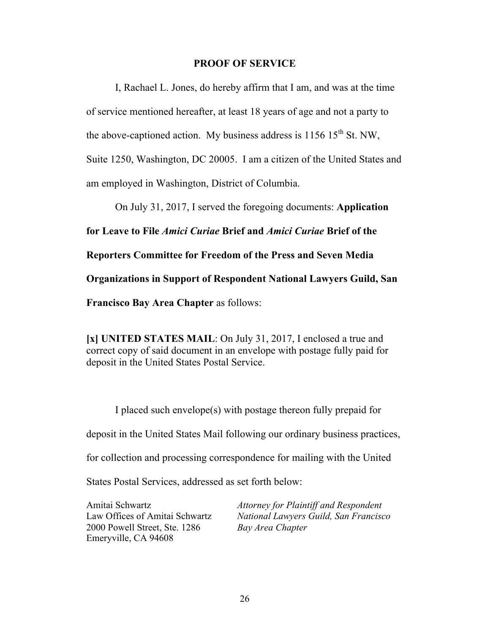#### **PROOF OF SERVICE**

I, Rachael L. Jones, do hereby affirm that I am, and was at the time of service mentioned hereafter, at least 18 years of age and not a party to the above-captioned action. My business address is  $1156 \, 15^{th}$  St. NW, Suite 1250, Washington, DC 20005. I am a citizen of the United States and am employed in Washington, District of Columbia.

On July 31, 2017, I served the foregoing documents: **Application for Leave to File** *Amici Curiae* **Brief and** *Amici Curiae* **Brief of the Reporters Committee for Freedom of the Press and Seven Media Organizations in Support of Respondent National Lawyers Guild, San Francisco Bay Area Chapter** as follows:

**[x] UNITED STATES MAIL**: On July 31, 2017, I enclosed a true and correct copy of said document in an envelope with postage fully paid for deposit in the United States Postal Service.

I placed such envelope(s) with postage thereon fully prepaid for deposit in the United States Mail following our ordinary business practices, for collection and processing correspondence for mailing with the United States Postal Services, addressed as set forth below:

Amitai Schwartz Law Offices of Amitai Schwartz 2000 Powell Street, Ste. 1286 Emeryville, CA 94608

*Attorney for Plaintiff and Respondent National Lawyers Guild, San Francisco Bay Area Chapter*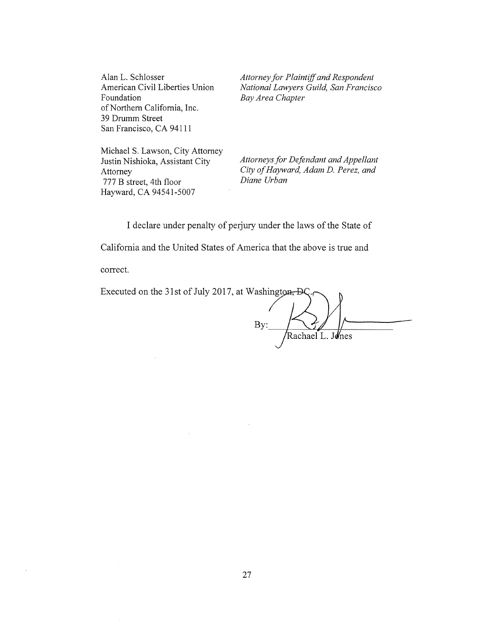Alan L. Schlosser American Civil Liberties Union Foundation of Northern California, Inc. 39 Drumm Street San Francisco, CA 94111

*Attorney for Plaintiff and Respondent National Lawyers Guild, San Francisco Bay Area Chapter* 

Michael S. Lawson, City Attorney Justin Nishioka, Assistant City Attorney 777 B street, 4th floor Hayward, CA 94541-5007

*Attorneys for Defendant and Appellant City of Hayward, Adam D. Perez, and Diane Urban* 

I declare under penalty of perjury under the laws of the State of

California and the United States of America that the above is true and

correct.

| Executed on the 31st of July 2017, at Washington <del>, D</del> C. |  |
|--------------------------------------------------------------------|--|
|                                                                    |  |
|                                                                    |  |
| Rachael L. Jones                                                   |  |
|                                                                    |  |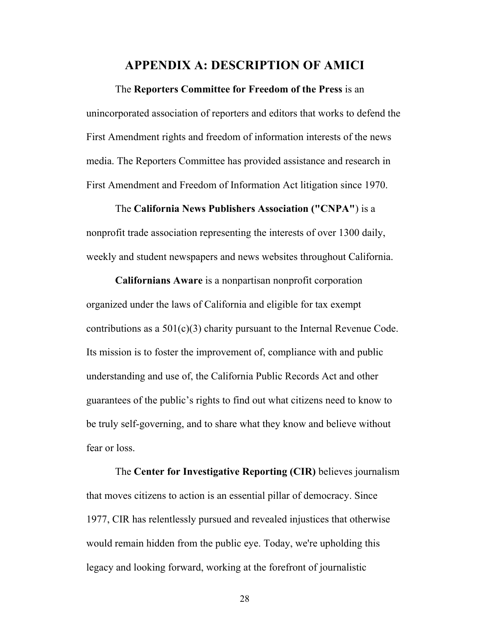#### **APPENDIX A: DESCRIPTION OF AMICI**

The **Reporters Committee for Freedom of the Press** is an unincorporated association of reporters and editors that works to defend the First Amendment rights and freedom of information interests of the news media. The Reporters Committee has provided assistance and research in First Amendment and Freedom of Information Act litigation since 1970.

The **California News Publishers Association ("CNPA"**) is a nonprofit trade association representing the interests of over 1300 daily, weekly and student newspapers and news websites throughout California.

**Californians Aware** is a nonpartisan nonprofit corporation organized under the laws of California and eligible for tax exempt contributions as a 501(c)(3) charity pursuant to the Internal Revenue Code. Its mission is to foster the improvement of, compliance with and public understanding and use of, the California Public Records Act and other guarantees of the public's rights to find out what citizens need to know to be truly self-governing, and to share what they know and believe without fear or loss.

The **Center for Investigative Reporting (CIR)** believes journalism that moves citizens to action is an essential pillar of democracy. Since 1977, CIR has relentlessly pursued and revealed injustices that otherwise would remain hidden from the public eye. Today, we're upholding this legacy and looking forward, working at the forefront of journalistic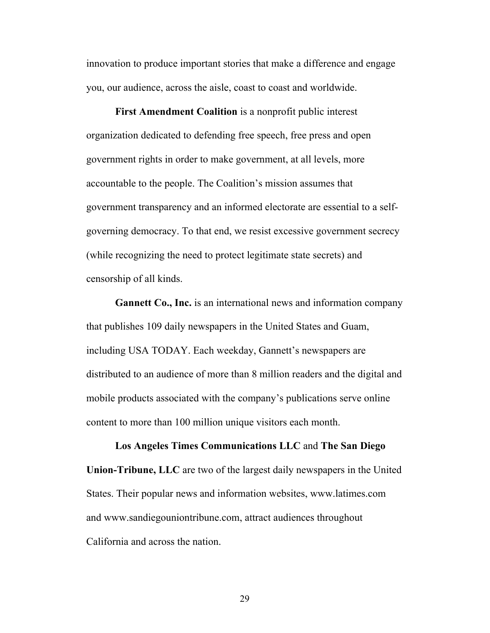innovation to produce important stories that make a difference and engage you, our audience, across the aisle, coast to coast and worldwide.

**First Amendment Coalition** is a nonprofit public interest organization dedicated to defending free speech, free press and open government rights in order to make government, at all levels, more accountable to the people. The Coalition's mission assumes that government transparency and an informed electorate are essential to a selfgoverning democracy. To that end, we resist excessive government secrecy (while recognizing the need to protect legitimate state secrets) and censorship of all kinds.

**Gannett Co., Inc.** is an international news and information company that publishes 109 daily newspapers in the United States and Guam, including USA TODAY. Each weekday, Gannett's newspapers are distributed to an audience of more than 8 million readers and the digital and mobile products associated with the company's publications serve online content to more than 100 million unique visitors each month.

**Los Angeles Times Communications LLC** and **The San Diego Union-Tribune, LLC** are two of the largest daily newspapers in the United States. Their popular news and information websites, www.latimes.com and www.sandiegouniontribune.com, attract audiences throughout California and across the nation.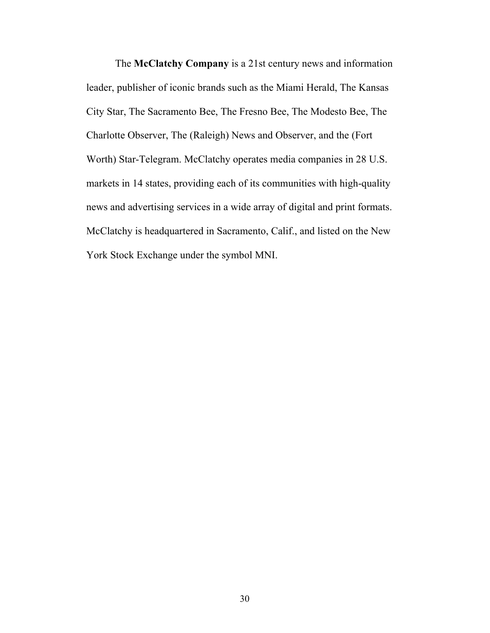The **McClatchy Company** is a 21st century news and information leader, publisher of iconic brands such as the Miami Herald, The Kansas City Star, The Sacramento Bee, The Fresno Bee, The Modesto Bee, The Charlotte Observer, The (Raleigh) News and Observer, and the (Fort Worth) Star-Telegram. McClatchy operates media companies in 28 U.S. markets in 14 states, providing each of its communities with high-quality news and advertising services in a wide array of digital and print formats. McClatchy is headquartered in Sacramento, Calif., and listed on the New York Stock Exchange under the symbol MNI.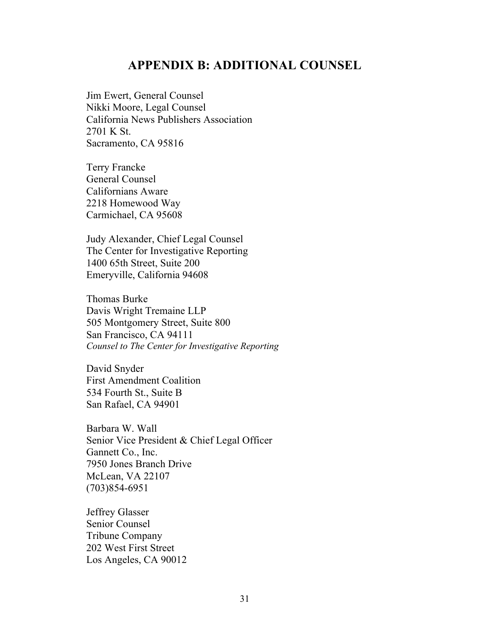## **APPENDIX B: ADDITIONAL COUNSEL**

Jim Ewert, General Counsel Nikki Moore, Legal Counsel California News Publishers Association 2701 K St. Sacramento, CA 95816

Terry Francke General Counsel Californians Aware 2218 Homewood Way Carmichael, CA 95608

Judy Alexander, Chief Legal Counsel The Center for Investigative Reporting 1400 65th Street, Suite 200 Emeryville, California 94608

Thomas Burke Davis Wright Tremaine LLP 505 Montgomery Street, Suite 800 San Francisco, CA 94111 *Counsel to The Center for Investigative Reporting*

David Snyder First Amendment Coalition 534 Fourth St., Suite B San Rafael, CA 94901

Barbara W. Wall Senior Vice President & Chief Legal Officer Gannett Co., Inc. 7950 Jones Branch Drive McLean, VA 22107 (703)854-6951

Jeffrey Glasser Senior Counsel Tribune Company 202 West First Street Los Angeles, CA 90012